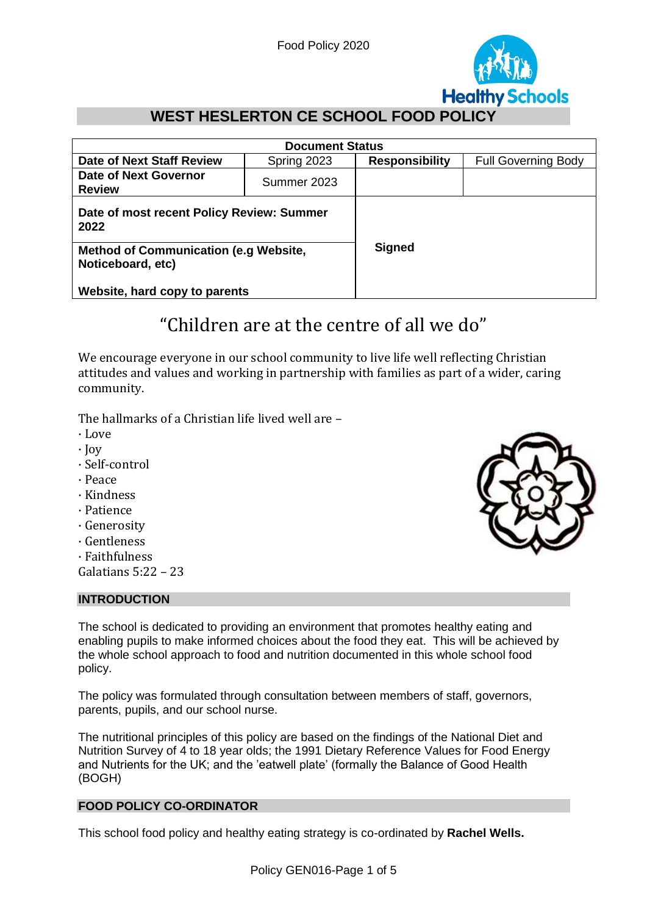

# **WEST HESLERTON CE SCHOOL FOOD POLICY**

| <b>Document Status</b>                                            |             |                       |                            |
|-------------------------------------------------------------------|-------------|-----------------------|----------------------------|
| <b>Date of Next Staff Review</b>                                  | Spring 2023 | <b>Responsibility</b> | <b>Full Governing Body</b> |
| <b>Date of Next Governor</b><br><b>Review</b>                     | Summer 2023 |                       |                            |
| Date of most recent Policy Review: Summer<br>2022                 |             |                       |                            |
| <b>Method of Communication (e.g Website,</b><br>Noticeboard, etc) |             | <b>Signed</b>         |                            |
| Website, hard copy to parents                                     |             |                       |                            |

# "Children are at the centre of all we do"

We encourage everyone in our school community to live life well reflecting Christian attitudes and values and working in partnership with families as part of a wider, caring community.

The hallmarks of a Christian life lived well are –

- · Love
- · Joy
- · Self-control
- · Peace
- · Kindness
- · Patience
- · Generosity
- · Gentleness
- · Faithfulness
- Galatians 5:22 23

#### **INTRODUCTION**

The school is dedicated to providing an environment that promotes healthy eating and enabling pupils to make informed choices about the food they eat. This will be achieved by the whole school approach to food and nutrition documented in this whole school food policy.

The policy was formulated through consultation between members of staff, governors, parents, pupils, and our school nurse.

The nutritional principles of this policy are based on the findings of the National Diet and Nutrition Survey of 4 to 18 year olds; the 1991 Dietary Reference Values for Food Energy and Nutrients for the UK; and the 'eatwell plate' (formally the Balance of Good Health (BOGH)

#### **FOOD POLICY CO-ORDINATOR**

This school food policy and healthy eating strategy is co-ordinated by **Rachel Wells.**

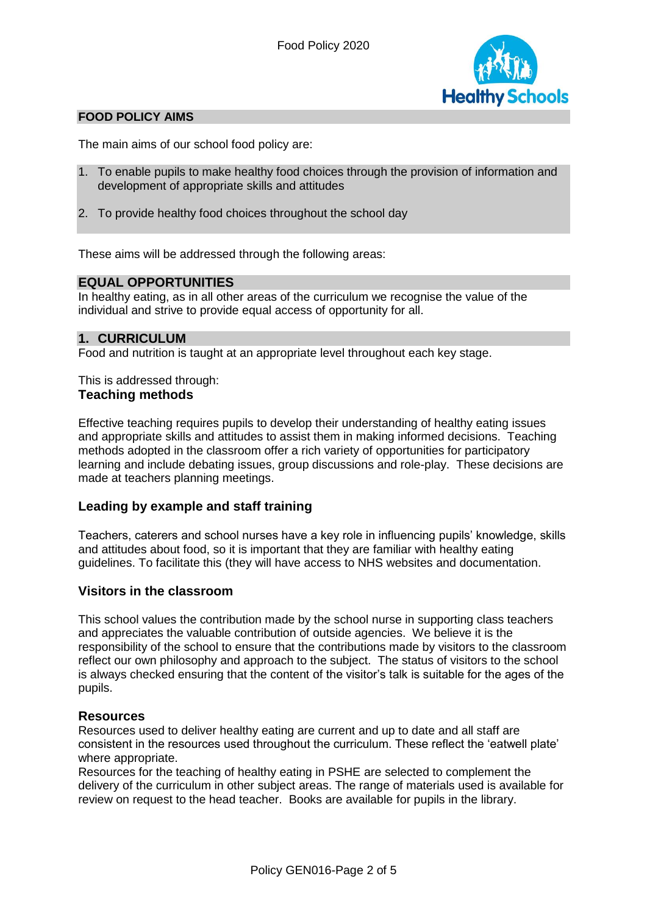

# **FOOD POLICY AIMS**

The main aims of our school food policy are:

- 1. To enable pupils to make healthy food choices through the provision of information and development of appropriate skills and attitudes
- 2. To provide healthy food choices throughout the school day

These aims will be addressed through the following areas:

#### **EQUAL OPPORTUNITIES**

In healthy eating, as in all other areas of the curriculum we recognise the value of the individual and strive to provide equal access of opportunity for all.

#### **1. CURRICULUM**

Food and nutrition is taught at an appropriate level throughout each key stage.

This is addressed through: **Teaching methods**

Effective teaching requires pupils to develop their understanding of healthy eating issues and appropriate skills and attitudes to assist them in making informed decisions. Teaching methods adopted in the classroom offer a rich variety of opportunities for participatory learning and include debating issues, group discussions and role-play. These decisions are made at teachers planning meetings.

#### **Leading by example and staff training**

Teachers, caterers and school nurses have a key role in influencing pupils' knowledge, skills and attitudes about food, so it is important that they are familiar with healthy eating guidelines. To facilitate this (they will have access to NHS websites and documentation.

#### **Visitors in the classroom**

This school values the contribution made by the school nurse in supporting class teachers and appreciates the valuable contribution of outside agencies. We believe it is the responsibility of the school to ensure that the contributions made by visitors to the classroom reflect our own philosophy and approach to the subject. The status of visitors to the school is always checked ensuring that the content of the visitor's talk is suitable for the ages of the pupils.

#### **Resources**

Resources used to deliver healthy eating are current and up to date and all staff are consistent in the resources used throughout the curriculum. These reflect the 'eatwell plate' where appropriate.

Resources for the teaching of healthy eating in PSHE are selected to complement the delivery of the curriculum in other subject areas. The range of materials used is available for review on request to the head teacher. Books are available for pupils in the library.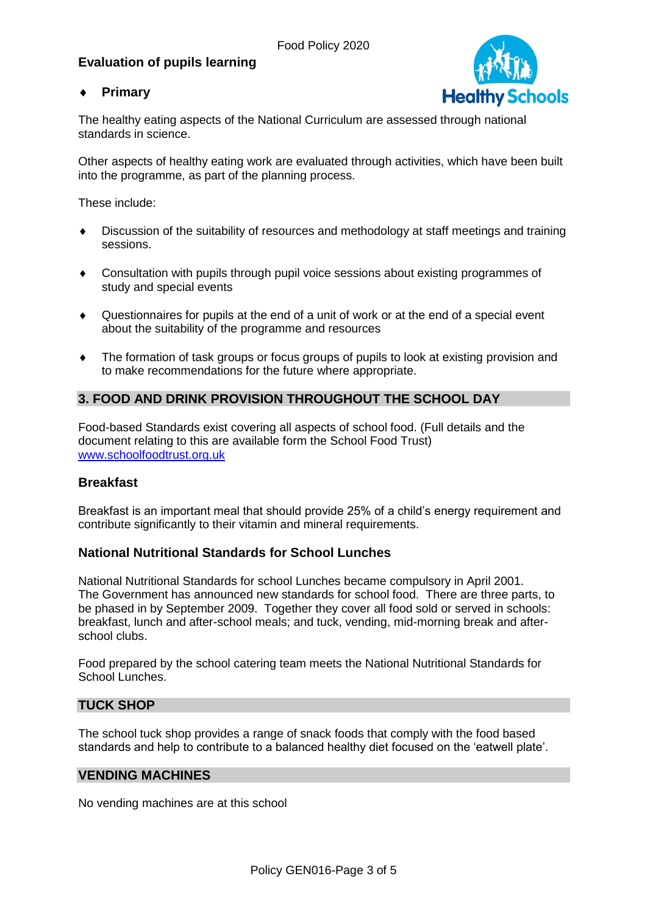# **Evaluation of pupils learning**

# **Primary**



The healthy eating aspects of the National Curriculum are assessed through national standards in science.

Other aspects of healthy eating work are evaluated through activities, which have been built into the programme, as part of the planning process.

These include:

- Discussion of the suitability of resources and methodology at staff meetings and training sessions.
- Consultation with pupils through pupil voice sessions about existing programmes of study and special events
- Questionnaires for pupils at the end of a unit of work or at the end of a special event about the suitability of the programme and resources
- The formation of task groups or focus groups of pupils to look at existing provision and to make recommendations for the future where appropriate.

# **3. FOOD AND DRINK PROVISION THROUGHOUT THE SCHOOL DAY**

Food-based Standards exist covering all aspects of school food. (Full details and the document relating to this are available form the School Food Trust) [www.schoolfoodtrust.org.uk](http://www.schoolfoodtrust.org.uk/)

# **Breakfast**

Breakfast is an important meal that should provide 25% of a child's energy requirement and contribute significantly to their vitamin and mineral requirements.

# **National Nutritional Standards for School Lunches**

National Nutritional Standards for school Lunches became compulsory in April 2001. The Government has announced new standards for school food. There are three parts, to be phased in by September 2009. Together they cover all food sold or served in schools: breakfast, lunch and after-school meals; and tuck, vending, mid-morning break and afterschool clubs.

Food prepared by the school catering team meets the National Nutritional Standards for School Lunches

#### **TUCK SHOP**

The school tuck shop provides a range of snack foods that comply with the food based standards and help to contribute to a balanced healthy diet focused on the 'eatwell plate'.

#### **VENDING MACHINES**

No vending machines are at this school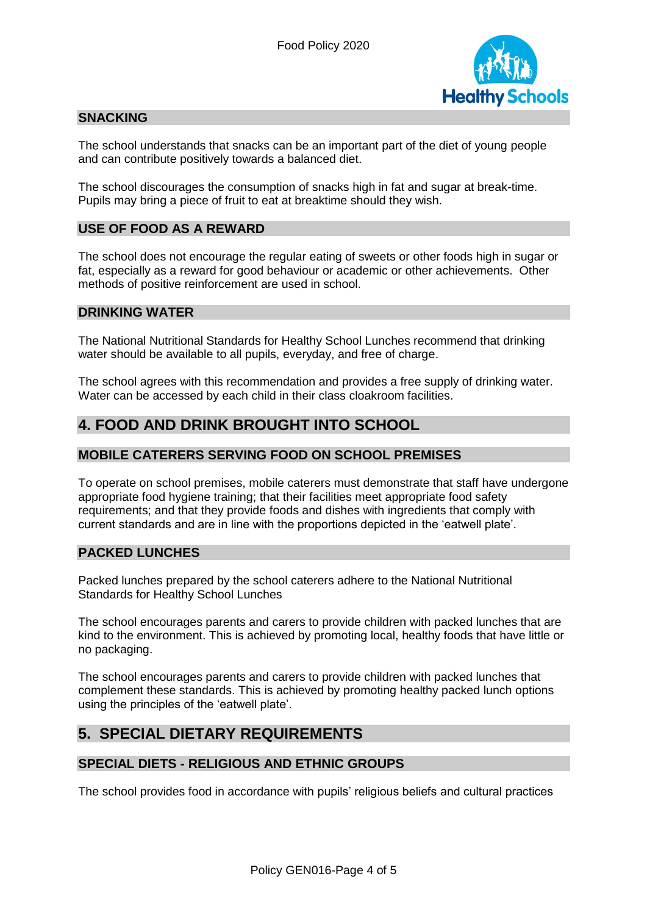

# **SNACKING**

The school understands that snacks can be an important part of the diet of young people and can contribute positively towards a balanced diet.

The school discourages the consumption of snacks high in fat and sugar at break-time. Pupils may bring a piece of fruit to eat at breaktime should they wish.

# **USE OF FOOD AS A REWARD**

The school does not encourage the regular eating of sweets or other foods high in sugar or fat, especially as a reward for good behaviour or academic or other achievements. Other methods of positive reinforcement are used in school.

#### **DRINKING WATER**

The National Nutritional Standards for Healthy School Lunches recommend that drinking water should be available to all pupils, everyday, and free of charge.

The school agrees with this recommendation and provides a free supply of drinking water. Water can be accessed by each child in their class cloakroom facilities.

# **4. FOOD AND DRINK BROUGHT INTO SCHOOL**

### **MOBILE CATERERS SERVING FOOD ON SCHOOL PREMISES**

To operate on school premises, mobile caterers must demonstrate that staff have undergone appropriate food hygiene training; that their facilities meet appropriate food safety requirements; and that they provide foods and dishes with ingredients that comply with current standards and are in line with the proportions depicted in the 'eatwell plate'.

#### **PACKED LUNCHES**

Packed lunches prepared by the school caterers adhere to the National Nutritional Standards for Healthy School Lunches

The school encourages parents and carers to provide children with packed lunches that are kind to the environment. This is achieved by promoting local, healthy foods that have little or no packaging.

The school encourages parents and carers to provide children with packed lunches that complement these standards. This is achieved by promoting healthy packed lunch options using the principles of the 'eatwell plate'.

# **5. SPECIAL DIETARY REQUIREMENTS**

#### **SPECIAL DIETS - RELIGIOUS AND ETHNIC GROUPS**

The school provides food in accordance with pupils' religious beliefs and cultural practices